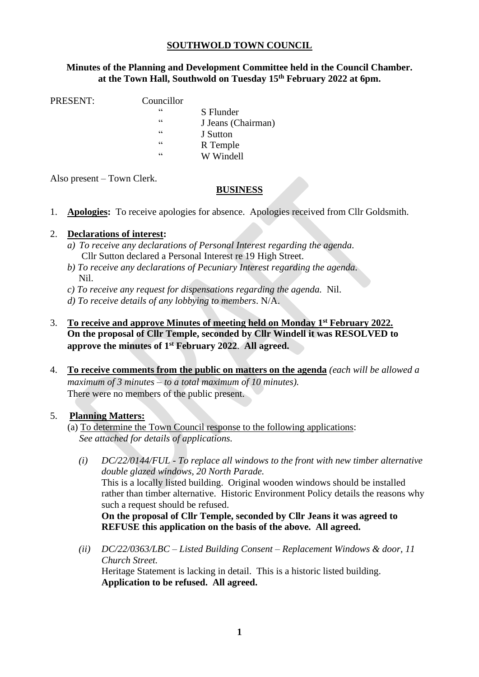#### **SOUTHWOLD TOWN COUNCIL**

#### **Minutes of the Planning and Development Committee held in the Council Chamber. at the Town Hall, Southwold on Tuesday 15th February 2022 at 6pm.**

PRESENT: Councillor

- - " S Flunder
		- " J Jeans (Chairman)
	- " J Sutton
	- R Temple
	- " W Windell

Also present – Town Clerk.

## **BUSINESS**

1. **Apologies:** To receive apologies for absence. Apologies received from Cllr Goldsmith.

## 2. **Declarations of interest:**

- *a) To receive any declarations of Personal Interest regarding the agenda*. Cllr Sutton declared a Personal Interest re 19 High Street.
- *b) To receive any declarations of Pecuniary Interest regarding the agenda.* Nil.
- *c) To receive any request for dispensations regarding the agenda.* Nil.
- *d) To receive details of any lobbying to members*. N/A.
- 3. **To receive and approve Minutes of meeting held on Monday 1 st February 2022. On the proposal of Cllr Temple, seconded by Cllr Windell it was RESOLVED to approve the minutes of 1 st February 2022**. **All agreed.**
- 4. **To receive comments from the public on matters on the agenda** *(each will be allowed a maximum of 3 minutes – to a total maximum of 10 minutes).* There were no members of the public present.

#### 5. **Planning Matters:**

- (a) To determine the Town Council response to the following applications: *See attached for details of applications.*
	- *(i) DC/22/0144/FUL - To replace all windows to the front with new timber alternative double glazed windows, 20 North Parade.*  This is a locally listed building. Original wooden windows should be installed rather than timber alternative. Historic Environment Policy details the reasons why such a request should be refused. **On the proposal of Cllr Temple, seconded by Cllr Jeans it was agreed to**
	- *(ii) DC/22/0363/LBC – Listed Building Consent – Replacement Windows & door, 11 Church Street.*  Heritage Statement is lacking in detail. This is a historic listed building. **Application to be refused. All agreed.**

**REFUSE this application on the basis of the above. All agreed.**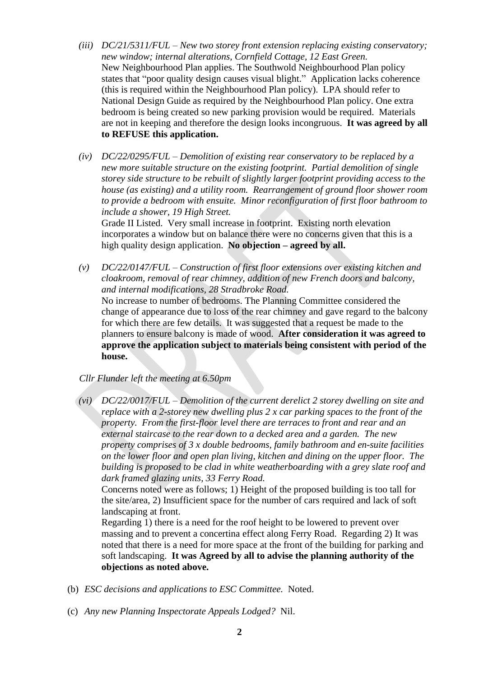- *(iii) DC/21/5311/FUL – New two storey front extension replacing existing conservatory; new window; internal alterations, Cornfield Cottage, 12 East Green.* New Neighbourhood Plan applies. The Southwold Neighbourhood Plan policy states that "poor quality design causes visual blight." Application lacks coherence (this is required within the Neighbourhood Plan policy). LPA should refer to National Design Guide as required by the Neighbourhood Plan policy. One extra bedroom is being created so new parking provision would be required. Materials are not in keeping and therefore the design looks incongruous. **It was agreed by all to REFUSE this application.**
- *(iv) DC/22/0295/FUL – Demolition of existing rear conservatory to be replaced by a new more suitable structure on the existing footprint. Partial demolition of single storey side structure to be rebuilt of slightly larger footprint providing access to the house (as existing) and a utility room. Rearrangement of ground floor shower room to provide a bedroom with ensuite. Minor reconfiguration of first floor bathroom to include a shower, 19 High Street.*

Grade II Listed. Very small increase in footprint. Existing north elevation incorporates a window but on balance there were no concerns given that this is a high quality design application. **No objection – agreed by all.**

*(v) DC/22/0147/FUL – Construction of first floor extensions over existing kitchen and cloakroom, removal of rear chimney, addition of new French doors and balcony, and internal modifications, 28 Stradbroke Road.*  No increase to number of bedrooms. The Planning Committee considered the change of appearance due to loss of the rear chimney and gave regard to the balcony

for which there are few details. It was suggested that a request be made to the planners to ensure balcony is made of wood. **After consideration it was agreed to approve the application subject to materials being consistent with period of the house.**

- *Cllr Flunder left the meeting at 6.50pm*
- *(vi) DC/22/0017/FUL – Demolition of the current derelict 2 storey dwelling on site and replace with a 2-storey new dwelling plus 2 x car parking spaces to the front of the property. From the first-floor level there are terraces to front and rear and an external staircase to the rear down to a decked area and a garden. The new property comprises of 3 x double bedrooms, family bathroom and en-suite facilities on the lower floor and open plan living, kitchen and dining on the upper floor. The building is proposed to be clad in white weatherboarding with a grey slate roof and dark framed glazing units, 33 Ferry Road.*

Concerns noted were as follows; 1) Height of the proposed building is too tall for the site/area, 2) Insufficient space for the number of cars required and lack of soft landscaping at front.

Regarding 1) there is a need for the roof height to be lowered to prevent over massing and to prevent a concertina effect along Ferry Road. Regarding 2) It was noted that there is a need for more space at the front of the building for parking and soft landscaping. **It was Agreed by all to advise the planning authority of the objections as noted above.**

- (b) *ESC decisions and applications to ESC Committee.* Noted.
- (c) *Any new Planning Inspectorate Appeals Lodged?* Nil.